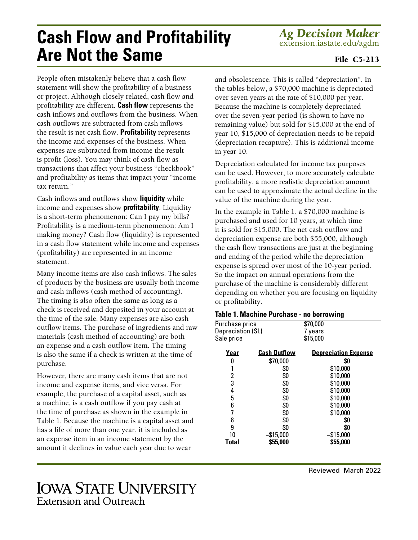## **Cash Flow and Profitability Are Not the Same**

*Ag Decision Maker* extension.iastate.edu/agdm

## File C5-213

People often mistakenly believe that a cash flow statement will show the profitability of a business or project. Although closely related, cash flow and profitability are different. **Cash flow** represents the cash inflows and outflows from the business. When cash outflows are subtracted from cash inflows the result is net cash flow. **Profitability** represents the income and expenses of the business. When expenses are subtracted from income the result is profit (loss). You may think of cash flow as transactions that affect your business "checkbook" and profitability as items that impact your "income tax return."

Cash inflows and outflows show **liquidity** while income and expenses show **profitability**. Liquidity is a short-term phenomenon: Can I pay my bills? Profitability is a medium-term phenomenon: Am I making money? Cash flow (liquidity) is represented in a cash flow statement while income and expenses (profitability) are represented in an income statement.

Many income items are also cash inflows. The sales of products by the business are usually both income and cash inflows (cash method of accounting). The timing is also often the same as long as a check is received and deposited in your account at the time of the sale. Many expenses are also cash outflow items. The purchase of ingredients and raw materials (cash method of accounting) are both an expense and a cash outflow item. The timing is also the same if a check is written at the time of purchase.

However, there are many cash items that are not income and expense items, and vice versa. For example, the purchase of a capital asset, such as a machine, is a cash outflow if you pay cash at the time of purchase as shown in the example in Table 1. Because the machine is a capital asset and has a life of more than one year, it is included as an expense item in an income statement by the amount it declines in value each year due to wear

and obsolescence. This is called "depreciation". In the tables below, a \$70,000 machine is depreciated over seven years at the rate of \$10,000 per year. Because the machine is completely depreciated over the seven-year period (is shown to have no remaining value) but sold for \$15,000 at the end of year 10, \$15,000 of depreciation needs to be repaid (depreciation recapture). This is additional income in year 10.

Depreciation calculated for income tax purposes can be used. However, to more accurately calculate profitability, a more realistic depreciation amount can be used to approximate the actual decline in the value of the machine during the year.

In the example in Table 1, a \$70,000 machine is purchased and used for 10 years, at which time it is sold for \$15,000. The net cash outflow and depreciation expense are both \$55,000, although the cash flow transactions are just at the beginning and ending of the period while the depreciation expense is spread over most of the 10-year period. So the impact on annual operations from the purchase of the machine is considerably different depending on whether you are focusing on liquidity or profitability.

## **Table 1. Machine Purchase - no borrowing**

| Purchase price    |                     | \$70,000                    |  |
|-------------------|---------------------|-----------------------------|--|
| Depreciation (SL) |                     | 7 years                     |  |
| Sale price        |                     | \$15,000                    |  |
| Year              | <b>Cash Outflow</b> | <b>Depreciation Expense</b> |  |
| 0                 | \$70,000            | \$0                         |  |
|                   | \$0                 | \$10,000                    |  |
| 2                 | \$0                 | \$10,000                    |  |
| 3                 | \$0                 | \$10,000                    |  |
| 4                 | \$0                 | \$10,000                    |  |
| 5                 | \$0                 | \$10,000                    |  |
| 6                 | \$0                 | \$10,000                    |  |
| 7                 | \$0                 | \$10,000                    |  |
| 8                 | \$0                 | \$0                         |  |
| 9                 | \$0                 | \$0                         |  |
| 10                | <u>\$15,000</u>     | \$15,000                    |  |
| <b>Total</b>      | \$55,000            | \$55,000                    |  |
|                   |                     |                             |  |

## **IOWA STATE UNIVERSITY Extension and Outreach**

Reviewed March 2022